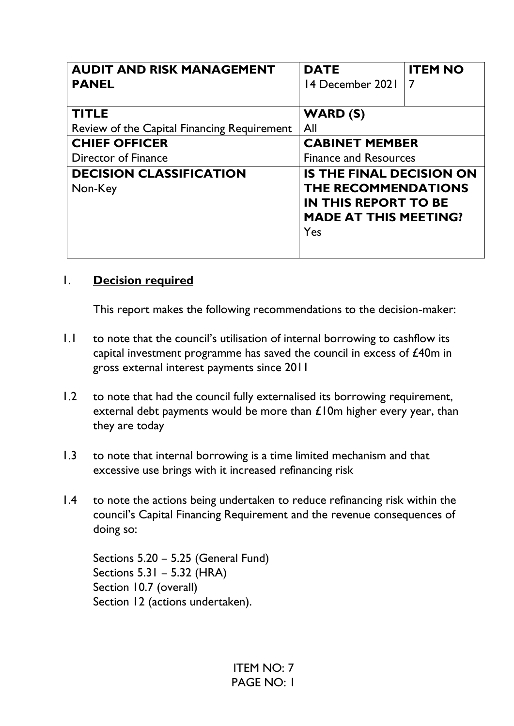| <b>AUDIT AND RISK MANAGEMENT</b>            | <b>DATE</b>                     | <b>ITEM NO</b> |
|---------------------------------------------|---------------------------------|----------------|
| <b>PANEL</b>                                | 14 December 2021                |                |
|                                             |                                 |                |
| <b>TITLE</b>                                | WARD(S)                         |                |
| Review of the Capital Financing Requirement | All                             |                |
| <b>CHIEF OFFICER</b>                        | <b>CABINET MEMBER</b>           |                |
| Director of Finance                         | <b>Finance and Resources</b>    |                |
| <b>DECISION CLASSIFICATION</b>              | <b>IS THE FINAL DECISION ON</b> |                |
| Non-Key                                     | <b>THE RECOMMENDATIONS</b>      |                |
|                                             | <b>IN THIS REPORT TO BE</b>     |                |
|                                             | <b>MADE AT THIS MEETING?</b>    |                |
|                                             | Yes                             |                |
|                                             |                                 |                |

### 1. **Decision required**

This report makes the following recommendations to the decision-maker:

- 1.1 to note that the council's utilisation of internal borrowing to cashflow its capital investment programme has saved the council in excess of £40m in gross external interest payments since 2011
- 1.2 to note that had the council fully externalised its borrowing requirement, external debt payments would be more than £10m higher every year, than they are today
- 1.3 to note that internal borrowing is a time limited mechanism and that excessive use brings with it increased refinancing risk
- 1.4 to note the actions being undertaken to reduce refinancing risk within the council's Capital Financing Requirement and the revenue consequences of doing so:

Sections 5.20 – 5.25 (General Fund) Sections 5.31 – 5.32 (HRA) Section 10.7 (overall) Section 12 (actions undertaken).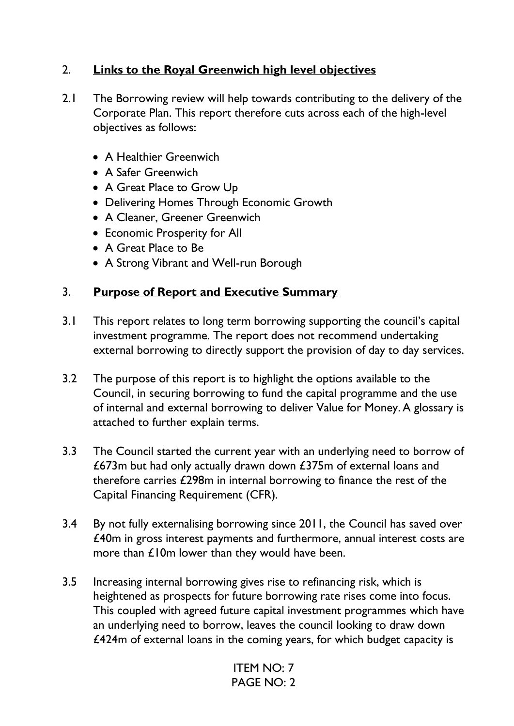# 2. **Links to the Royal Greenwich high level objectives**

- 2.1 The Borrowing review will help towards contributing to the delivery of the Corporate Plan. This report therefore cuts across each of the high-level objectives as follows:
	- A Healthier Greenwich
	- A Safer Greenwich
	- A Great Place to Grow Up
	- Delivering Homes Through Economic Growth
	- A Cleaner, Greener Greenwich
	- Economic Prosperity for All
	- A Great Place to Be
	- A Strong Vibrant and Well-run Borough

### 3. **Purpose of Report and Executive Summary**

- 3.1 This report relates to long term borrowing supporting the council's capital investment programme. The report does not recommend undertaking external borrowing to directly support the provision of day to day services.
- 3.2 The purpose of this report is to highlight the options available to the Council, in securing borrowing to fund the capital programme and the use of internal and external borrowing to deliver Value for Money.A glossary is attached to further explain terms.
- 3.3 The Council started the current year with an underlying need to borrow of £673m but had only actually drawn down £375m of external loans and therefore carries £298m in internal borrowing to finance the rest of the Capital Financing Requirement (CFR).
- 3.4 By not fully externalising borrowing since 2011, the Council has saved over £40m in gross interest payments and furthermore, annual interest costs are more than £10m lower than they would have been.
- 3.5 Increasing internal borrowing gives rise to refinancing risk, which is heightened as prospects for future borrowing rate rises come into focus. This coupled with agreed future capital investment programmes which have an underlying need to borrow, leaves the council looking to draw down £424m of external loans in the coming years, for which budget capacity is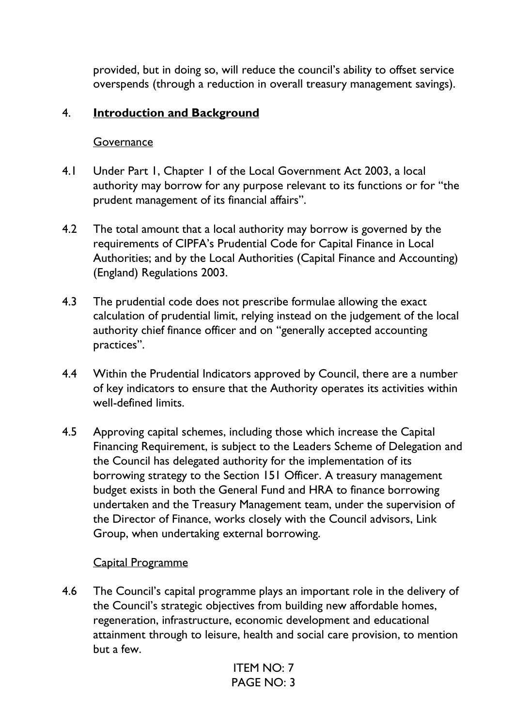provided, but in doing so, will reduce the council's ability to offset service overspends (through a reduction in overall treasury management savings).

#### 4. **Introduction and Background**

#### Governance

- 4.1 Under Part 1, Chapter 1 of the Local Government Act 2003, a local authority may borrow for any purpose relevant to its functions or for "the prudent management of its financial affairs".
- 4.2 The total amount that a local authority may borrow is governed by the requirements of CIPFA's Prudential Code for Capital Finance in Local Authorities; and by the Local Authorities (Capital Finance and Accounting) (England) Regulations 2003.
- 4.3 The prudential code does not prescribe formulae allowing the exact calculation of prudential limit, relying instead on the judgement of the local authority chief finance officer and on "generally accepted accounting practices".
- 4.4 Within the Prudential Indicators approved by Council, there are a number of key indicators to ensure that the Authority operates its activities within well-defined limits.
- 4.5 Approving capital schemes, including those which increase the Capital Financing Requirement, is subject to the Leaders Scheme of Delegation and the Council has delegated authority for the implementation of its borrowing strategy to the Section 151 Officer. A treasury management budget exists in both the General Fund and HRA to finance borrowing undertaken and the Treasury Management team, under the supervision of the Director of Finance, works closely with the Council advisors, Link Group, when undertaking external borrowing.

#### Capital Programme

4.6 The Council's capital programme plays an important role in the delivery of the Council's strategic objectives from building new affordable homes, regeneration, infrastructure, economic development and educational attainment through to leisure, health and social care provision, to mention but a few.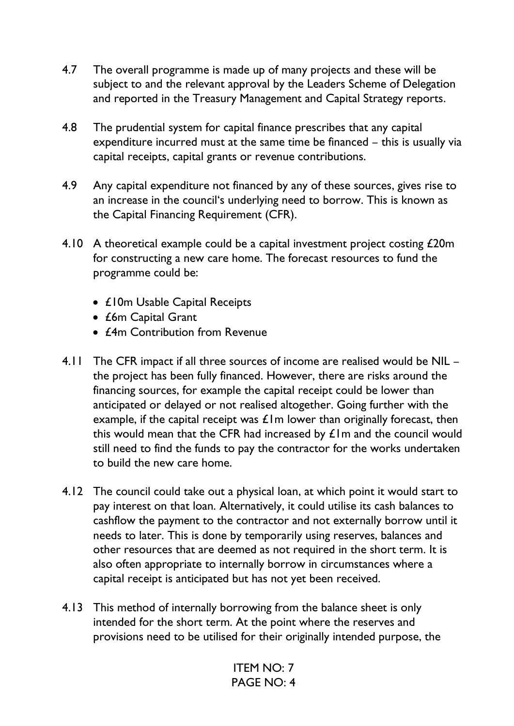- 4.7 The overall programme is made up of many projects and these will be subject to and the relevant approval by the Leaders Scheme of Delegation and reported in the Treasury Management and Capital Strategy reports.
- 4.8 The prudential system for capital finance prescribes that any capital expenditure incurred must at the same time be financed – this is usually via capital receipts, capital grants or revenue contributions.
- 4.9 Any capital expenditure not financed by any of these sources, gives rise to an increase in the council's underlying need to borrow. This is known as the Capital Financing Requirement (CFR).
- 4.10 A theoretical example could be a capital investment project costing £20m for constructing a new care home. The forecast resources to fund the programme could be:
	- £10m Usable Capital Receipts
	- £6m Capital Grant
	- *£4m* Contribution from Revenue
- 4.11 The CFR impact if all three sources of income are realised would be NIL the project has been fully financed. However, there are risks around the financing sources, for example the capital receipt could be lower than anticipated or delayed or not realised altogether. Going further with the example, if the capital receipt was  $E$ 1m lower than originally forecast, then this would mean that the CFR had increased by £1m and the council would still need to find the funds to pay the contractor for the works undertaken to build the new care home.
- 4.12 The council could take out a physical loan, at which point it would start to pay interest on that loan. Alternatively, it could utilise its cash balances to cashflow the payment to the contractor and not externally borrow until it needs to later. This is done by temporarily using reserves, balances and other resources that are deemed as not required in the short term. It is also often appropriate to internally borrow in circumstances where a capital receipt is anticipated but has not yet been received.
- 4.13 This method of internally borrowing from the balance sheet is only intended for the short term. At the point where the reserves and provisions need to be utilised for their originally intended purpose, the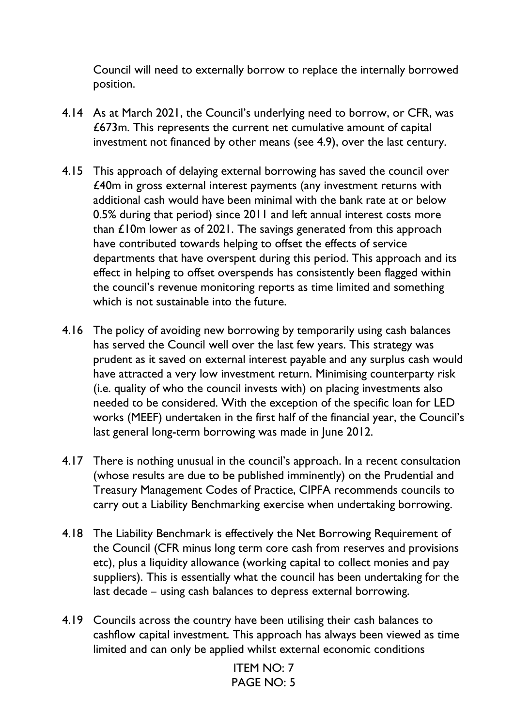Council will need to externally borrow to replace the internally borrowed position.

- 4.14 As at March 2021, the Council's underlying need to borrow, or CFR, was £673m. This represents the current net cumulative amount of capital investment not financed by other means (see 4.9), over the last century.
- 4.15 This approach of delaying external borrowing has saved the council over £40m in gross external interest payments (any investment returns with additional cash would have been minimal with the bank rate at or below 0.5% during that period) since 2011 and left annual interest costs more than £10m lower as of 2021. The savings generated from this approach have contributed towards helping to offset the effects of service departments that have overspent during this period. This approach and its effect in helping to offset overspends has consistently been flagged within the council's revenue monitoring reports as time limited and something which is not sustainable into the future.
- 4.16 The policy of avoiding new borrowing by temporarily using cash balances has served the Council well over the last few years. This strategy was prudent as it saved on external interest payable and any surplus cash would have attracted a very low investment return. Minimising counterparty risk (i.e. quality of who the council invests with) on placing investments also needed to be considered. With the exception of the specific loan for LED works (MEEF) undertaken in the first half of the financial year, the Council's last general long-term borrowing was made in June 2012.
- 4.17 There is nothing unusual in the council's approach. In a recent consultation (whose results are due to be published imminently) on the Prudential and Treasury Management Codes of Practice, CIPFA recommends councils to carry out a Liability Benchmarking exercise when undertaking borrowing.
- 4.18 The Liability Benchmark is effectively the Net Borrowing Requirement of the Council (CFR minus long term core cash from reserves and provisions etc), plus a liquidity allowance (working capital to collect monies and pay suppliers). This is essentially what the council has been undertaking for the last decade – using cash balances to depress external borrowing.
- 4.19 Councils across the country have been utilising their cash balances to cashflow capital investment. This approach has always been viewed as time limited and can only be applied whilst external economic conditions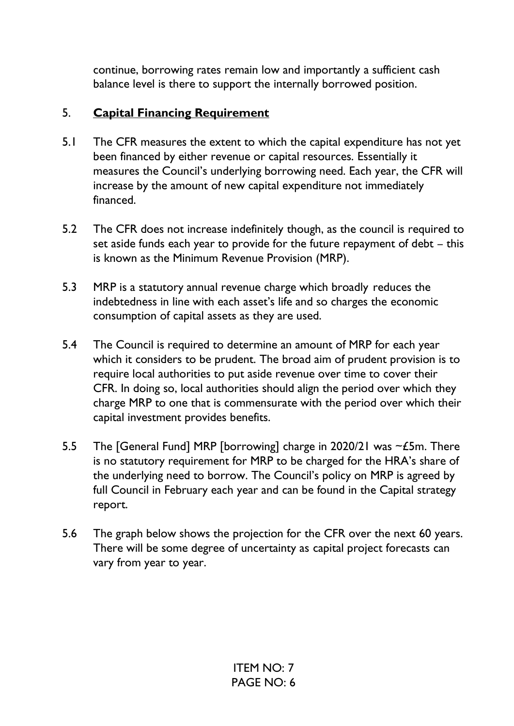continue, borrowing rates remain low and importantly a sufficient cash balance level is there to support the internally borrowed position.

# 5. **Capital Financing Requirement**

- 5.1 The CFR measures the extent to which the capital expenditure has not yet been financed by either revenue or capital resources. Essentially it measures the Council's underlying borrowing need. Each year, the CFR will increase by the amount of new capital expenditure not immediately financed.
- 5.2 The CFR does not increase indefinitely though, as the council is required to set aside funds each year to provide for the future repayment of debt – this is known as the Minimum Revenue Provision (MRP).
- 5.3 MRP is a statutory annual revenue charge which broadly reduces the indebtedness in line with each asset's life and so charges the economic consumption of capital assets as they are used.
- 5.4 The Council is required to determine an amount of MRP for each year which it considers to be prudent. The broad aim of prudent provision is to require local authorities to put aside revenue over time to cover their CFR. In doing so, local authorities should align the period over which they charge MRP to one that is commensurate with the period over which their capital investment provides benefits.
- 5.5 The [General Fund] MRP [borrowing] charge in 2020/21 was  $\sim$  £5m. There is no statutory requirement for MRP to be charged for the HRA's share of the underlying need to borrow. The Council's policy on MRP is agreed by full Council in February each year and can be found in the Capital strategy report.
- 5.6 The graph below shows the projection for the CFR over the next 60 years. There will be some degree of uncertainty as capital project forecasts can vary from year to year.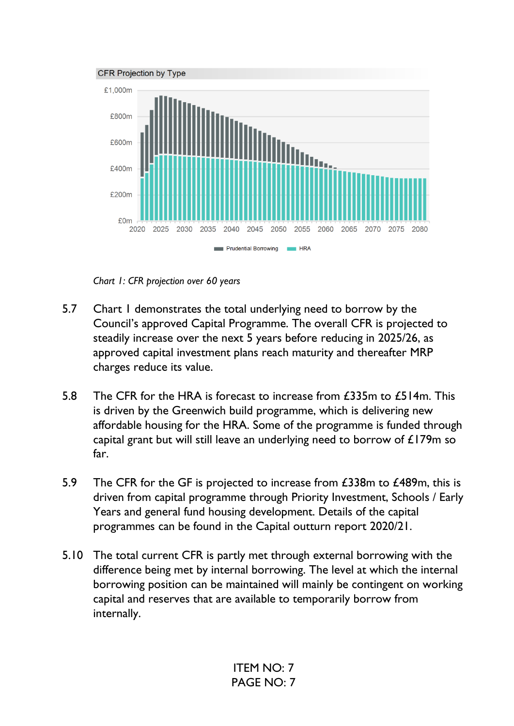

*Chart 1: CFR projection over 60 years* 

- 5.7 Chart I demonstrates the total underlying need to borrow by the Council's approved Capital Programme. The overall CFR is projected to steadily increase over the next 5 years before reducing in 2025/26, as approved capital investment plans reach maturity and thereafter MRP charges reduce its value.
- 5.8 The CFR for the HRA is forecast to increase from £335m to £514m. This is driven by the Greenwich build programme, which is delivering new affordable housing for the HRA. Some of the programme is funded through capital grant but will still leave an underlying need to borrow of £179m so far.
- 5.9 The CFR for the GF is projected to increase from £338m to £489m, this is driven from capital programme through Priority Investment, Schools / Early Years and general fund housing development. Details of the capital programmes can be found in the Capital outturn report 2020/21.
- 5.10 The total current CFR is partly met through external borrowing with the difference being met by internal borrowing. The level at which the internal borrowing position can be maintained will mainly be contingent on working capital and reserves that are available to temporarily borrow from internally.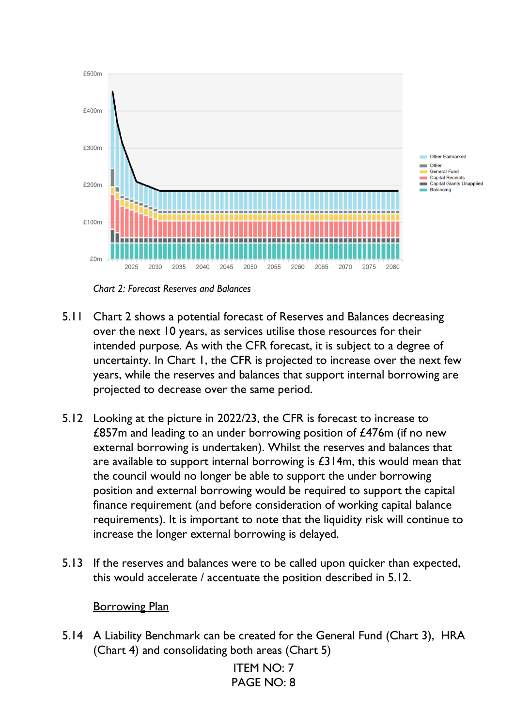

*Chart 2: Forecast Reserves and Balances* 

- 5.11 Chart 2 shows a potential forecast of Reserves and Balances decreasing over the next 10 years, as services utilise those resources for their intended purpose. As with the CFR forecast, it is subject to a degree of uncertainty. In Chart 1, the CFR is projected to increase over the next few years, while the reserves and balances that support internal borrowing are projected to decrease over the same period.
- 5.12 Looking at the picture in 2022/23, the CFR is forecast to increase to £857m and leading to an under borrowing position of £476m (if no new external borrowing is undertaken). Whilst the reserves and balances that are available to support internal borrowing is  $£314m$ , this would mean that the council would no longer be able to support the under borrowing position and external borrowing would be required to support the capital finance requirement (and before consideration of working capital balance requirements). It is important to note that the liquidity risk will continue to increase the longer external borrowing is delayed.
- 5.13 If the reserves and balances were to be called upon quicker than expected, this would accelerate / accentuate the position described in 5.12.

#### Borrowing Plan

5.14 A Liability Benchmark can be created for the General Fund (Chart 3), HRA (Chart 4) and consolidating both areas (Chart 5)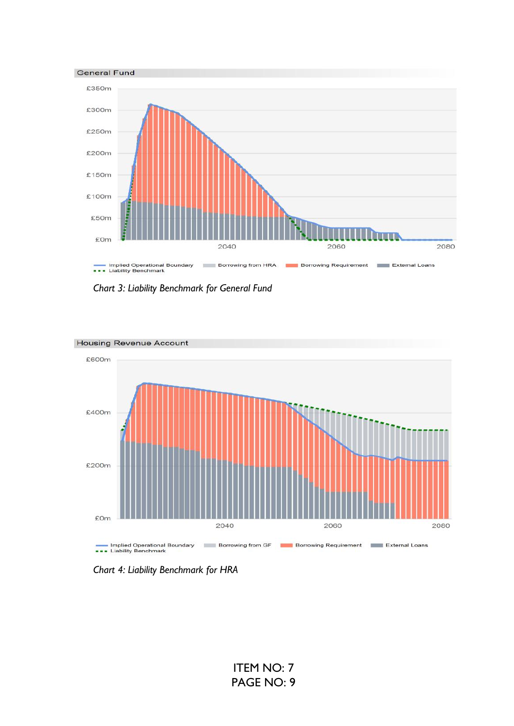

*Chart 3: Liability Benchmark for General Fund*



**Housing Revenue Account** 

*Chart 4: Liability Benchmark for HRA*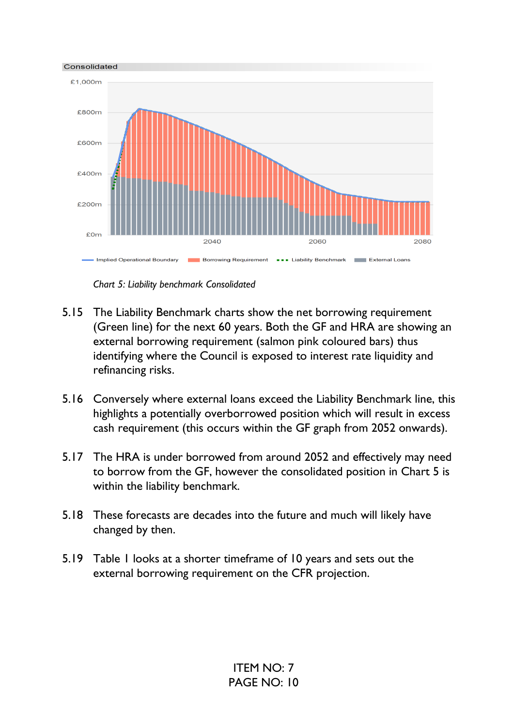

*Chart 5: Liability benchmark Consolidated* 

- 5.15 The Liability Benchmark charts show the net borrowing requirement (Green line) for the next 60 years. Both the GF and HRA are showing an external borrowing requirement (salmon pink coloured bars) thus identifying where the Council is exposed to interest rate liquidity and refinancing risks.
- 5.16 Conversely where external loans exceed the Liability Benchmark line, this highlights a potentially overborrowed position which will result in excess cash requirement (this occurs within the GF graph from 2052 onwards).
- 5.17 The HRA is under borrowed from around 2052 and effectively may need to borrow from the GF, however the consolidated position in Chart 5 is within the liability benchmark.
- 5.18 These forecasts are decades into the future and much will likely have changed by then.
- 5.19 Table 1 looks at a shorter timeframe of 10 years and sets out the external borrowing requirement on the CFR projection.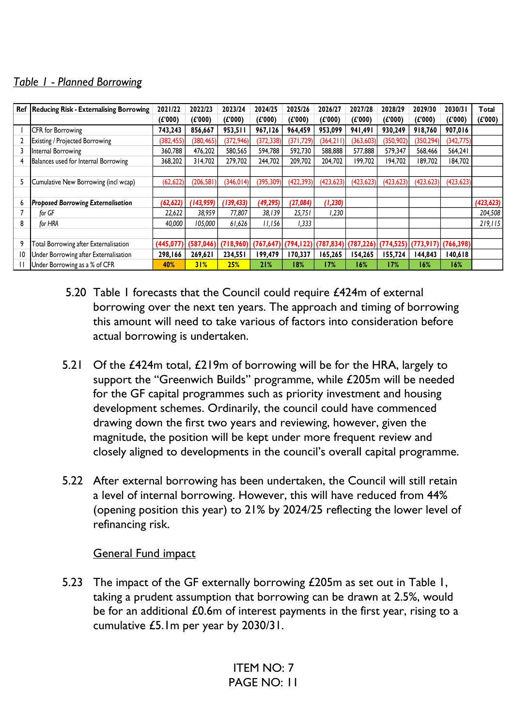### *Table 1 - Planned Borrowing*

| Ref          | <b>Reducing Risk - Externalising Borrowing</b> | 2021/22   | 2022/23    | 2023/24    | 2024/25    | 2025/26    | 2026/27    | 2027/28    | 2028/29    | 2029/30    | 2030/31               | Total      |
|--------------|------------------------------------------------|-----------|------------|------------|------------|------------|------------|------------|------------|------------|-----------------------|------------|
|              |                                                | (E'000)   | (E'000)    | (E'000)    | (E'000)    | (E'000)    | (E'000)    | (E'000)    | (E'000)    | (E'000)    | (E'000)               | (E'000)    |
|              | CFR for Borrowing                              | 743,243   | 856,667    | 953,511    | 967,126    | 964,459    | 953,099    | 941,491    | 930,249    | 918.760    | 907,016               |            |
|              | <b>Existing / Projected Borrowing</b>          | (382,455) | (380, 465) | (372, 946) | (372, 338) | (371, 729) | (364, 211) | (363, 603) | (350, 902) | (350, 294) | (342, 775)            |            |
|              | Internal Borrowing                             | 360,788   | 476,202    | 580,565    | 594,788    | 592,730    | 588,888    | 577,888    | 579,347    | 568,466    | 564,241               |            |
| 4            | Balances used for Internal Borrowing           | 368,202   | 314,702    | 279,702    | 244,702    | 209,702    | 204,702    | 199,702    | 194,702    | 189,702    | 184,702               |            |
|              |                                                |           |            |            |            |            |            |            |            |            |                       |            |
| 5            | Cumulative New Borrowing (incl wcap)           | (62, 622) | (206, 581) | (346, 014) | (395, 309) | (422, 393) | (423, 623) | (423, 623) | (423, 623) | (423, 623) | (423, 623)            |            |
|              |                                                |           |            |            |            |            |            |            |            |            |                       |            |
| 6            | <b>Proposed Borrowing Externalisation</b>      | (62, 622) | (143,959)  | 139,433    | (49, 295)  | (27, 084)  | (1, 230)   |            |            |            |                       | (423, 623) |
|              | for GF                                         | 22,622    | 38,959     | 77,807     | 38,139     | 25,751     | 1,230      |            |            |            |                       | 204,508    |
| 8            | for HRA                                        | 40,000    | 105,000    | 61,626     | 11,156     | 1,333      |            |            |            |            |                       | 219,115    |
|              |                                                |           |            |            |            |            |            |            |            |            |                       |            |
| 9            | Total Borrowing after Externalisation          | (445,077) | (587, 046) | (718,960)  | (767, 647) | (794, 122) | (787, 834) | (787, 226) | (774, 525) |            | $(773,917)$ (766,398) |            |
| 10           | Under Borrowing after Externalisation          | 298,166   | 269,621    | 234,551    | 199,479    | 170,337    | 165,265    | 154,265    | 155,724    | 144,843    | 140,618               |            |
| $\mathbf{I}$ | Under Borrowing as a % of CFR                  | 40%       | 31%        | <b>25%</b> | 21%        | 18%        | 17%        | 16%        | 17%        | 16%        | 16%                   |            |

- 5.20 Table 1 forecasts that the Council could require £424m of external borrowing over the next ten years. The approach and timing of borrowing this amount will need to take various of factors into consideration before actual borrowing is undertaken.
- 5.21 Of the £424m total, £219m of borrowing will be for the HRA, largely to support the "Greenwich Builds" programme, while £205m will be needed for the GF capital programmes such as priority investment and housing development schemes. Ordinarily, the council could have commenced drawing down the first two years and reviewing, however, given the magnitude, the position will be kept under more frequent review and closely aligned to developments in the council's overall capital programme.
- 5.22 After external borrowing has been undertaken, the Council will still retain a level of internal borrowing. However, this will have reduced from 44% (opening position this year) to 21% by 2024/25 reflecting the lower level of refinancing risk.

#### General Fund impact

5.23 The impact of the GF externally borrowing £205m as set out in Table 1, taking a prudent assumption that borrowing can be drawn at 2.5%, would be for an additional £0.6m of interest payments in the first year, rising to a cumulative £5.1m per year by 2030/31.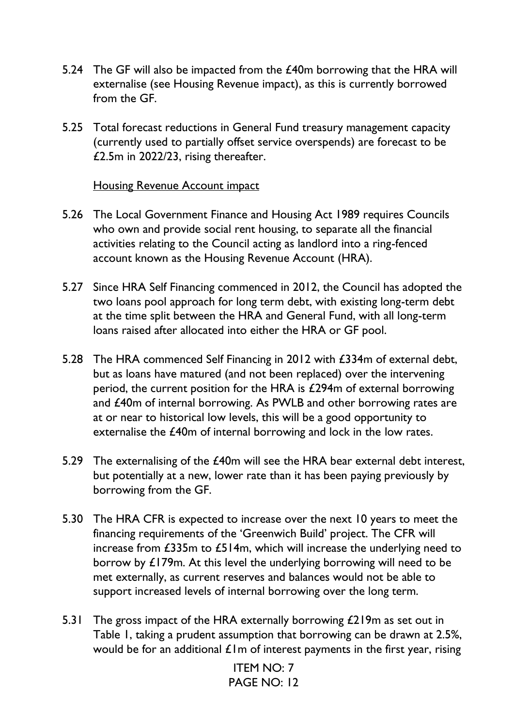- 5.24 The GF will also be impacted from the £40m borrowing that the HRA will externalise (see Housing Revenue impact), as this is currently borrowed from the GF.
- 5.25 Total forecast reductions in General Fund treasury management capacity (currently used to partially offset service overspends) are forecast to be £2.5m in 2022/23, rising thereafter.

#### Housing Revenue Account impact

- 5.26 The Local Government Finance and Housing Act 1989 requires Councils who own and provide social rent housing, to separate all the financial activities relating to the Council acting as landlord into a ring-fenced account known as the Housing Revenue Account (HRA).
- 5.27 Since HRA Self Financing commenced in 2012, the Council has adopted the two loans pool approach for long term debt, with existing long-term debt at the time split between the HRA and General Fund, with all long-term loans raised after allocated into either the HRA or GF pool.
- 5.28 The HRA commenced Self Financing in 2012 with £334m of external debt, but as loans have matured (and not been replaced) over the intervening period, the current position for the HRA is £294m of external borrowing and £40m of internal borrowing. As PWLB and other borrowing rates are at or near to historical low levels, this will be a good opportunity to externalise the £40m of internal borrowing and lock in the low rates.
- 5.29 The externalising of the £40m will see the HRA bear external debt interest, but potentially at a new, lower rate than it has been paying previously by borrowing from the GF.
- 5.30 The HRA CFR is expected to increase over the next 10 years to meet the financing requirements of the 'Greenwich Build' project. The CFR will increase from £335m to £514m, which will increase the underlying need to borrow by £179m. At this level the underlying borrowing will need to be met externally, as current reserves and balances would not be able to support increased levels of internal borrowing over the long term.
- 5.31 The gross impact of the HRA externally borrowing £219m as set out in Table 1, taking a prudent assumption that borrowing can be drawn at 2.5%, would be for an additional  $\pounds$  lm of interest payments in the first year, rising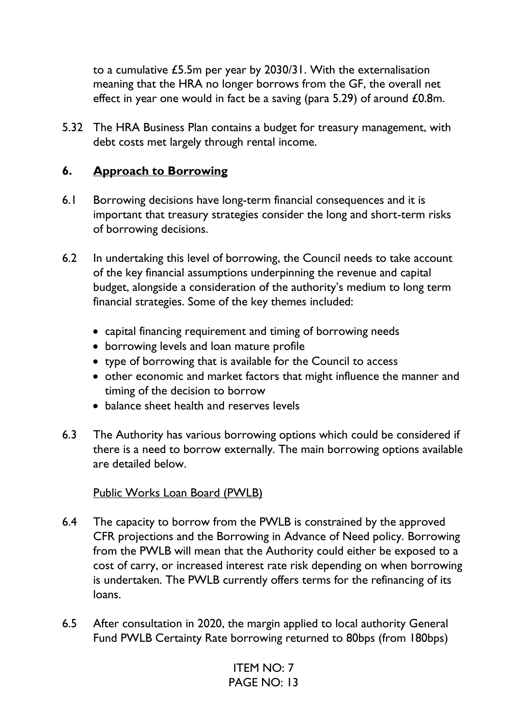to a cumulative £5.5m per year by 2030/31. With the externalisation meaning that the HRA no longer borrows from the GF, the overall net effect in year one would in fact be a saving (para 5.29) of around £0.8m.

5.32 The HRA Business Plan contains a budget for treasury management, with debt costs met largely through rental income.

### **6. Approach to Borrowing**

- 6.1 Borrowing decisions have long-term financial consequences and it is important that treasury strategies consider the long and short-term risks of borrowing decisions.
- 6.2 In undertaking this level of borrowing, the Council needs to take account of the key financial assumptions underpinning the revenue and capital budget, alongside a consideration of the authority's medium to long term financial strategies. Some of the key themes included:
	- capital financing requirement and timing of borrowing needs
	- borrowing levels and loan mature profile
	- type of borrowing that is available for the Council to access
	- other economic and market factors that might influence the manner and timing of the decision to borrow
	- balance sheet health and reserves levels
- 6.3 The Authority has various borrowing options which could be considered if there is a need to borrow externally. The main borrowing options available are detailed below.

### Public Works Loan Board (PWLB)

- 6.4 The capacity to borrow from the PWLB is constrained by the approved CFR projections and the Borrowing in Advance of Need policy. Borrowing from the PWLB will mean that the Authority could either be exposed to a cost of carry, or increased interest rate risk depending on when borrowing is undertaken. The PWLB currently offers terms for the refinancing of its loans.
- 6.5 After consultation in 2020, the margin applied to local authority General Fund PWLB Certainty Rate borrowing returned to 80bps (from 180bps)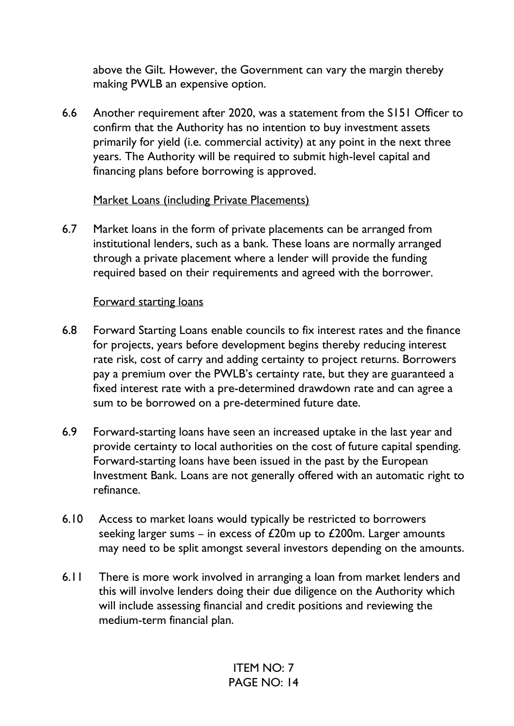above the Gilt. However, the Government can vary the margin thereby making PWLB an expensive option.

6.6 Another requirement after 2020, was a statement from the S151 Officer to confirm that the Authority has no intention to buy investment assets primarily for yield (i.e. commercial activity) at any point in the next three years. The Authority will be required to submit high-level capital and financing plans before borrowing is approved.

#### Market Loans (including Private Placements)

6.7 Market loans in the form of private placements can be arranged from institutional lenders, such as a bank. These loans are normally arranged through a private placement where a lender will provide the funding required based on their requirements and agreed with the borrower.

#### Forward starting loans

- 6.8 Forward Starting Loans enable councils to fix interest rates and the finance for projects, years before development begins thereby reducing interest rate risk, cost of carry and adding certainty to project returns. Borrowers pay a premium over the PWLB's certainty rate, but they are guaranteed a fixed interest rate with a pre-determined drawdown rate and can agree a sum to be borrowed on a pre-determined future date.
- 6.9 Forward-starting loans have seen an increased uptake in the last year and provide certainty to local authorities on the cost of future capital spending. Forward-starting loans have been issued in the past by the European Investment Bank. Loans are not generally offered with an automatic right to refinance.
- 6.10 Access to market loans would typically be restricted to borrowers seeking larger sums – in excess of  $£20m$  up to  $£200m$ . Larger amounts may need to be split amongst several investors depending on the amounts.
- 6.11 There is more work involved in arranging a loan from market lenders and this will involve lenders doing their due diligence on the Authority which will include assessing financial and credit positions and reviewing the medium-term financial plan.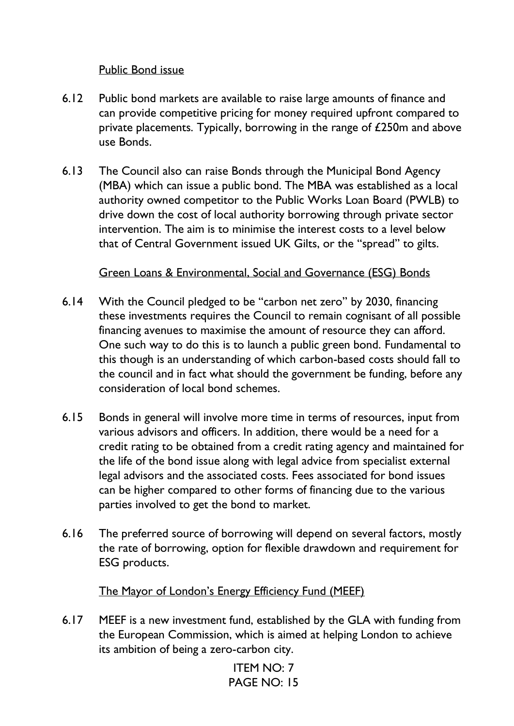### Public Bond issue

- 6.12 Public bond markets are available to raise large amounts of finance and can provide competitive pricing for money required upfront compared to private placements. Typically, borrowing in the range of £250m and above use Bonds.
- 6.13 The Council also can raise Bonds through the Municipal Bond Agency (MBA) which can issue a public bond. The MBA was established as a local authority owned competitor to the Public Works Loan Board (PWLB) to drive down the cost of local authority borrowing through private sector intervention. The aim is to minimise the interest costs to a level below that of Central Government issued UK Gilts, or the "spread" to gilts.

#### Green Loans & Environmental, Social and Governance (ESG) Bonds

- 6.14 With the Council pledged to be "carbon net zero" by 2030, financing these investments requires the Council to remain cognisant of all possible financing avenues to maximise the amount of resource they can afford. One such way to do this is to launch a public green bond. Fundamental to this though is an understanding of which carbon-based costs should fall to the council and in fact what should the government be funding, before any consideration of local bond schemes.
- 6.15 Bonds in general will involve more time in terms of resources, input from various advisors and officers. In addition, there would be a need for a credit rating to be obtained from a credit rating agency and maintained for the life of the bond issue along with legal advice from specialist external legal advisors and the associated costs. Fees associated for bond issues can be higher compared to other forms of financing due to the various parties involved to get the bond to market.
- 6.16 The preferred source of borrowing will depend on several factors, mostly the rate of borrowing, option for flexible drawdown and requirement for ESG products.

The Mayor of London's Energy Efficiency Fund (MEEF)

6.17 MEEF is a new investment fund, established by the GLA with funding from the European Commission, which is aimed at helping London to achieve its ambition of being a zero-carbon city.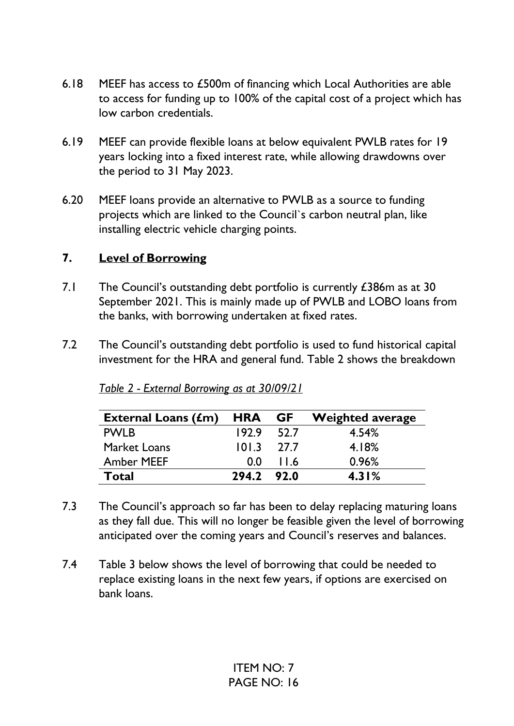- 6.18 MEEF has access to £500m of financing which Local Authorities are able to access for funding up to 100% of the capital cost of a project which has low carbon credentials.
- 6.19 MEEF can provide flexible loans at below equivalent PWLB rates for 19 years locking into a fixed interest rate, while allowing drawdowns over the period to 31 May 2023.
- 6.20 MEEF loans provide an alternative to PWLB as a source to funding projects which are linked to the Council`s carbon neutral plan, like installing electric vehicle charging points.

### **7. Level of Borrowing**

- 7.1 The Council's outstanding debt portfolio is currently £386m as at 30 September 2021. This is mainly made up of PWLB and LOBO loans from the banks, with borrowing undertaken at fixed rates.
- 7.2 The Council's outstanding debt portfolio is used to fund historical capital investment for the HRA and general fund. Table 2 shows the breakdown

| External Loans $(fm)$ HRA GF |            |      | <b>Weighted average</b> |
|------------------------------|------------|------|-------------------------|
| <b>PWLB</b>                  | 192.9      | 52.7 | 4.54%                   |
| <b>Market Loans</b>          | 101.3      | 27.7 | 4.18%                   |
| <b>Amber MEEF</b>            | 00         | 11.6 | 0.96%                   |
| Total                        | 294.2 92.0 |      | 4.31%                   |

*Table 2 - External Borrowing as at 30/09/21* 

- 7.3 The Council's approach so far has been to delay replacing maturing loans as they fall due. This will no longer be feasible given the level of borrowing anticipated over the coming years and Council's reserves and balances.
- 7.4 Table 3 below shows the level of borrowing that could be needed to replace existing loans in the next few years, if options are exercised on bank loans.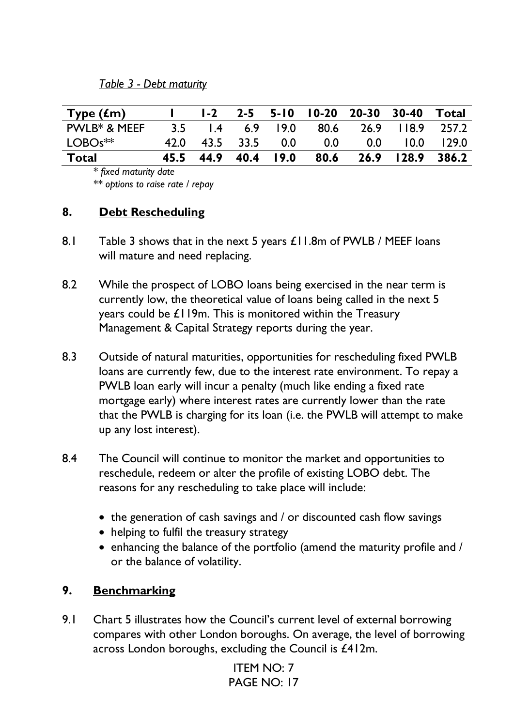#### *Table 3 - Debt maturity*

| Type $(fm)$  |      | $1-2$               |  |                  | 2-5 5-10 10-20 20-30 30-40 |                  | Total        |
|--------------|------|---------------------|--|------------------|----------------------------|------------------|--------------|
| PWLB* & MEEF |      | 3.5 1.4 6.9 19.0    |  | 80.6             |                            | 26.9 118.9 257.2 |              |
| $LOGOS**$    | 47 Q | 43.5 33.5 0.0       |  | 0.0 <sub>1</sub> | 0.0 <sub>1</sub>           |                  | $10.0$ 129.0 |
| Total        |      | 45.5 44.9 40.4 19.0 |  | 80.6             |                            | 26.9 128.9 386.2 |              |

*\* fixed maturity date* 

*\*\* options to raise rate / repay* 

### **8. Debt Rescheduling**

- 8.1 Table 3 shows that in the next 5 years £11.8m of PWLB / MEEF loans will mature and need replacing.
- 8.2 While the prospect of LOBO loans being exercised in the near term is currently low, the theoretical value of loans being called in the next 5 years could be £119m. This is monitored within the Treasury Management & Capital Strategy reports during the year.
- 8.3 Outside of natural maturities, opportunities for rescheduling fixed PWLB loans are currently few, due to the interest rate environment. To repay a PWLB loan early will incur a penalty (much like ending a fixed rate mortgage early) where interest rates are currently lower than the rate that the PWLB is charging for its loan (i.e. the PWLB will attempt to make up any lost interest).
- 8.4 The Council will continue to monitor the market and opportunities to reschedule, redeem or alter the profile of existing LOBO debt. The reasons for any rescheduling to take place will include:
	- the generation of cash savings and / or discounted cash flow savings
	- helping to fulfil the treasury strategy
	- enhancing the balance of the portfolio (amend the maturity profile and / or the balance of volatility.

### **9. Benchmarking**

9.1 Chart 5 illustrates how the Council's current level of external borrowing compares with other London boroughs. On average, the level of borrowing across London boroughs, excluding the Council is £412m.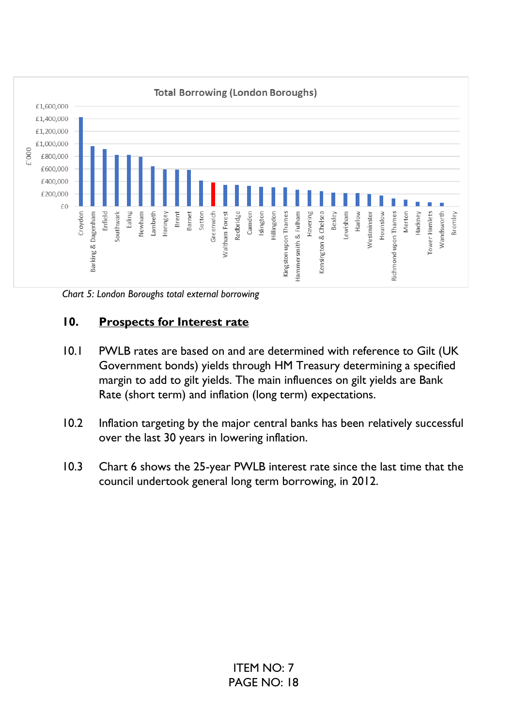

*Chart 5: London Boroughs total external borrowing*

### **10. Prospects for Interest rate**

- 10.1 PWLB rates are based on and are determined with reference to Gilt (UK Government bonds) yields through HM Treasury determining a specified margin to add to gilt yields. The main influences on gilt yields are Bank Rate (short term) and inflation (long term) expectations.
- 10.2 Inflation targeting by the major central banks has been relatively successful over the last 30 years in lowering inflation.
- 10.3 Chart 6 shows the 25-year PWLB interest rate since the last time that the council undertook general long term borrowing, in 2012.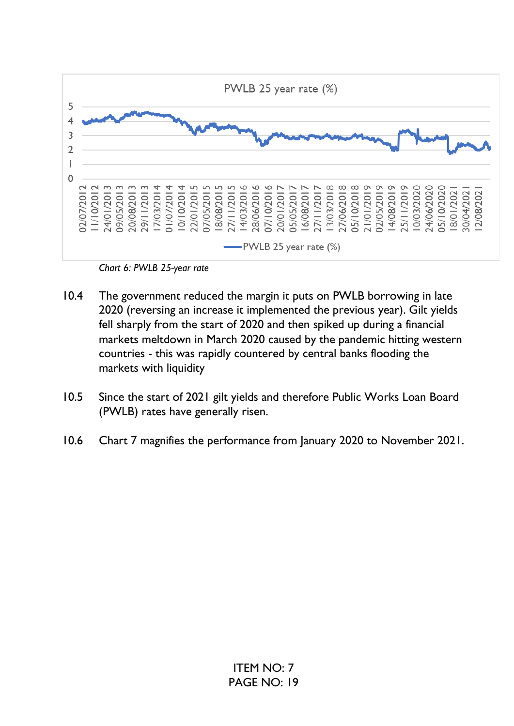

*Chart 6: PWLB 25-year rate* 

- 10.4 The government reduced the margin it puts on PWLB borrowing in late 2020 (reversing an increase it implemented the previous year). Gilt yields fell sharply from the start of 2020 and then spiked up during a financial markets meltdown in March 2020 caused by the pandemic hitting western countries - this was rapidly countered by central banks flooding the markets with liquidity
- 10.5 Since the start of 2021 gilt yields and therefore Public Works Loan Board (PWLB) rates have generally risen.
- 10.6 Chart 7 magnifies the performance from January 2020 to November 2021.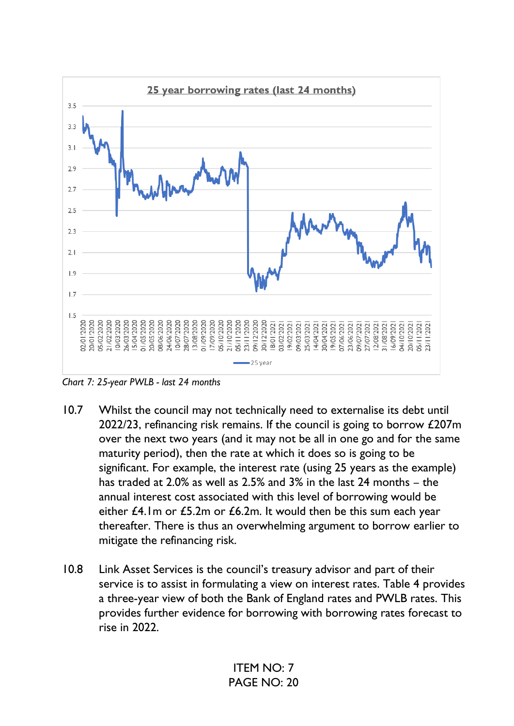

*Chart 7: 25-year PWLB - last 24 months* 

- 10.7 Whilst the council may not technically need to externalise its debt until 2022/23, refinancing risk remains. If the council is going to borrow £207m over the next two years (and it may not be all in one go and for the same maturity period), then the rate at which it does so is going to be significant. For example, the interest rate (using 25 years as the example) has traded at 2.0% as well as 2.5% and 3% in the last 24 months – the annual interest cost associated with this level of borrowing would be either £4.1m or £5.2m or £6.2m. It would then be this sum each year thereafter. There is thus an overwhelming argument to borrow earlier to mitigate the refinancing risk.
- 10.8 Link Asset Services is the council's treasury advisor and part of their service is to assist in formulating a view on interest rates. Table 4 provides a three-year view of both the Bank of England rates and PWLB rates. This provides further evidence for borrowing with borrowing rates forecast to rise in 2022.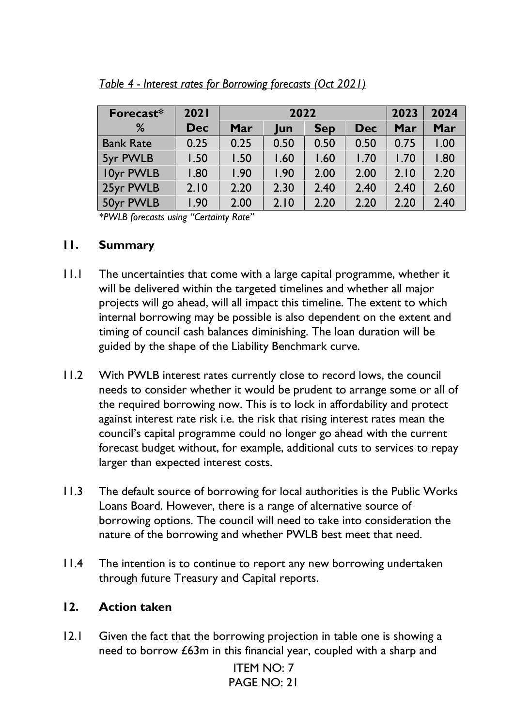| Forecast*        | 2021       | 2022 |      |            |            | 2023 | 2024 |
|------------------|------------|------|------|------------|------------|------|------|
| %                | <b>Dec</b> | Mar  | Jun  | <b>Sep</b> | <b>Dec</b> | Mar  | Mar  |
| <b>Bank Rate</b> | 0.25       | 0.25 | 0.50 | 0.50       | 0.50       | 0.75 | 1.00 |
| 5yr PWLB         | 1.50       | 1.50 | 1.60 | 1.60       | 1.70       | 1.70 | 1.80 |
| 10yr PWLB        | 1.80       | 1.90 | 1.90 | 2.00       | 2.00       | 2.10 | 2.20 |
| 25yr PWLB        | 2.10       | 2.20 | 2.30 | 2.40       | 2.40       | 2.40 | 2.60 |
| 50yr PWLB        | l.90       | 2.00 | 2.10 | 2.20       | 2.20       | 2.20 | 2.40 |

### *Table 4 - Interest rates for Borrowing forecasts (Oct 2021)*

*\*PWLB forecasts using "Certainty Rate"*

#### **11. Summary**

- 11.1 The uncertainties that come with a large capital programme, whether it will be delivered within the targeted timelines and whether all major projects will go ahead, will all impact this timeline. The extent to which internal borrowing may be possible is also dependent on the extent and timing of council cash balances diminishing. The loan duration will be guided by the shape of the Liability Benchmark curve.
- 11.2 With PWLB interest rates currently close to record lows, the council needs to consider whether it would be prudent to arrange some or all of the required borrowing now. This is to lock in affordability and protect against interest rate risk i.e. the risk that rising interest rates mean the council's capital programme could no longer go ahead with the current forecast budget without, for example, additional cuts to services to repay larger than expected interest costs.
- 11.3 The default source of borrowing for local authorities is the Public Works Loans Board. However, there is a range of alternative source of borrowing options. The council will need to take into consideration the nature of the borrowing and whether PWLB best meet that need.
- 11.4 The intention is to continue to report any new borrowing undertaken through future Treasury and Capital reports.

#### **12. Action taken**

12.1 Given the fact that the borrowing projection in table one is showing a need to borrow £63m in this financial year, coupled with a sharp and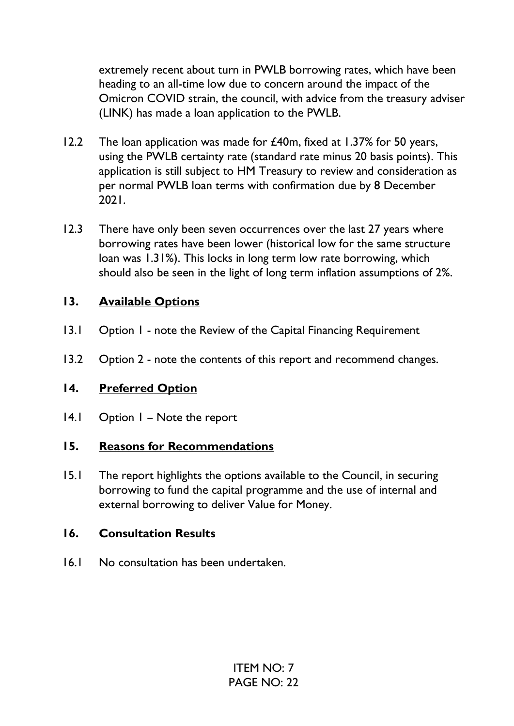extremely recent about turn in PWLB borrowing rates, which have been heading to an all-time low due to concern around the impact of the Omicron COVID strain, the council, with advice from the treasury adviser (LINK) has made a loan application to the PWLB.

- 12.2 The loan application was made for £40m, fixed at 1.37% for 50 years, using the PWLB certainty rate (standard rate minus 20 basis points). This application is still subject to HM Treasury to review and consideration as per normal PWLB loan terms with confirmation due by 8 December 2021.
- 12.3 There have only been seven occurrences over the last 27 years where borrowing rates have been lower (historical low for the same structure loan was 1.31%). This locks in long term low rate borrowing, which should also be seen in the light of long term inflation assumptions of 2%.

# **13. Available Options**

- 13.1 Option 1 note the Review of the Capital Financing Requirement
- 13.2 Option 2 note the contents of this report and recommend changes.

# **14. Preferred Option**

14.1 Option I – Note the report

# **15. Reasons for Recommendations**

15.1 The report highlights the options available to the Council, in securing borrowing to fund the capital programme and the use of internal and external borrowing to deliver Value for Money.

### **16. Consultation Results**

16.1 No consultation has been undertaken.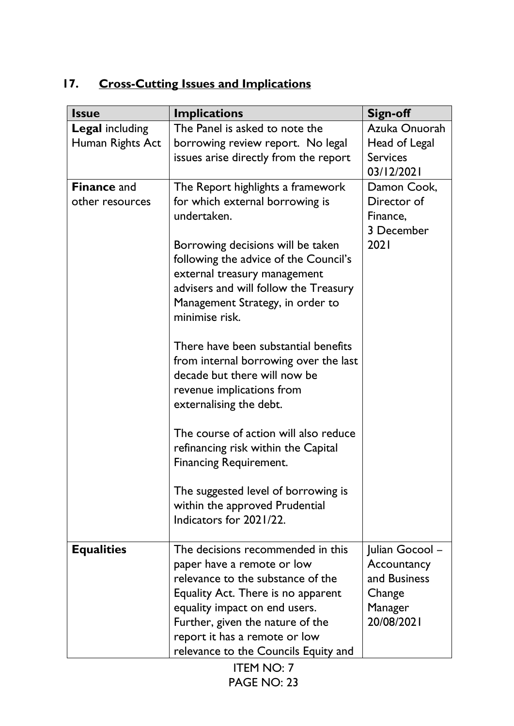# **17. Cross-Cutting Issues and Implications**

| <b>Issue</b>           | <b>Implications</b>                                                   | Sign-off              |
|------------------------|-----------------------------------------------------------------------|-----------------------|
| <b>Legal including</b> | The Panel is asked to note the                                        | Azuka Onuorah         |
| Human Rights Act       | borrowing review report. No legal                                     | Head of Legal         |
|                        | issues arise directly from the report                                 | <b>Services</b>       |
|                        |                                                                       | 03/12/2021            |
| <b>Finance and</b>     | The Report highlights a framework                                     | Damon Cook,           |
| other resources        | for which external borrowing is                                       | Director of           |
|                        | undertaken.                                                           | Finance,              |
|                        |                                                                       | 3 December            |
|                        | Borrowing decisions will be taken                                     | 2021                  |
|                        | following the advice of the Council's                                 |                       |
|                        | external treasury management                                          |                       |
|                        | advisers and will follow the Treasury                                 |                       |
|                        | Management Strategy, in order to                                      |                       |
|                        | minimise risk.                                                        |                       |
|                        | There have been substantial benefits                                  |                       |
|                        |                                                                       |                       |
|                        | from internal borrowing over the last<br>decade but there will now be |                       |
|                        |                                                                       |                       |
|                        | revenue implications from                                             |                       |
|                        | externalising the debt.                                               |                       |
|                        | The course of action will also reduce                                 |                       |
|                        | refinancing risk within the Capital                                   |                       |
|                        | <b>Financing Requirement.</b>                                         |                       |
|                        |                                                                       |                       |
|                        | The suggested level of borrowing is                                   |                       |
|                        | within the approved Prudential                                        |                       |
|                        | Indicators for 2021/22.                                               |                       |
|                        |                                                                       |                       |
| <b>Equalities</b>      | The decisions recommended in this                                     | Julian Gocool -       |
|                        | paper have a remote or low                                            | Accountancy           |
|                        | relevance to the substance of the                                     | and Business          |
|                        | Equality Act. There is no apparent                                    | Change                |
|                        | equality impact on end users.                                         | Manager<br>20/08/2021 |
|                        | Further, given the nature of the                                      |                       |
|                        | report it has a remote or low                                         |                       |
|                        | relevance to the Councils Equity and                                  |                       |
|                        | <b>ITEM NO: 7</b>                                                     |                       |

PAGE NO: 23